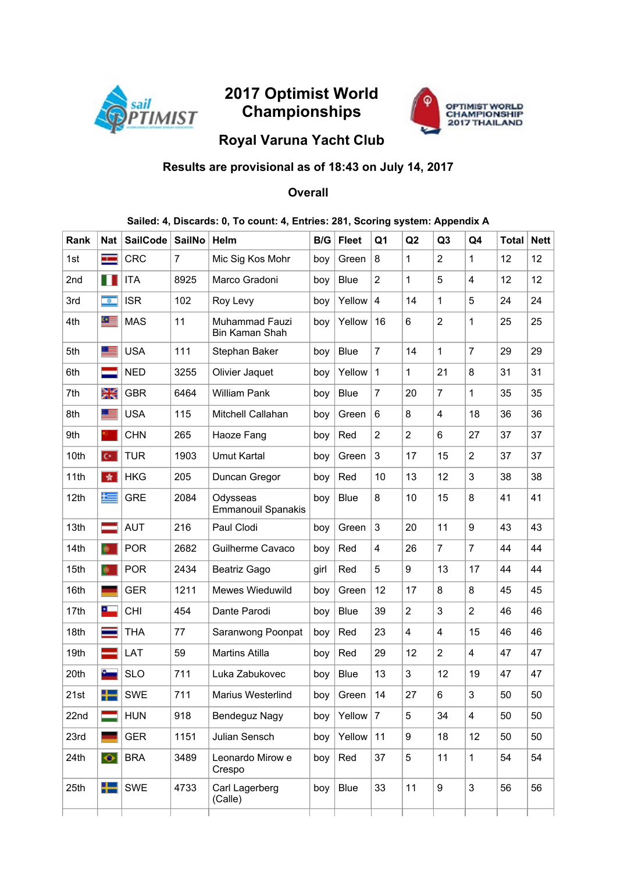

# 2017 Optimist World Championships



## Royal Varuna Yacht Club

### Results are provisional as of 18:43 on July 14, 2017

### **Overall**

#### Sailed: 4, Discards: 0, To count: 4, Entries: 281, Scoring system: Appendix A

| <b>Rank</b> | Nat                  | <b>SailCode</b> | <b>SailNo</b>  | <b>Helm</b>                           | B/G  | <b>Fleet</b> | Q1             | Q2             | Q3             | Q4             | Total | <b>Nett</b> |
|-------------|----------------------|-----------------|----------------|---------------------------------------|------|--------------|----------------|----------------|----------------|----------------|-------|-------------|
| 1st         | ł                    | <b>CRC</b>      | $\overline{7}$ | Mic Sig Kos Mohr                      | boy  | Green        | 8              | $\mathbf{1}$   | $\overline{2}$ | 1              | 12    | 12          |
| 2nd         | Ш                    | <b>ITA</b>      | 8925           | Marco Gradoni                         | boy  | <b>Blue</b>  | $\overline{2}$ | $\mathbf{1}$   | 5              | 4              | 12    | 12          |
| 3rd         | $\overline{\bullet}$ | <b>ISR</b>      | 102            | Roy Levy                              | boy  | Yellow       | 4              | 14             | 1              | 5              | 24    | 24          |
| 4th         | $\sigma$ $=$         | <b>MAS</b>      | 11             | Muhammad Fauzi<br>Bin Kaman Shah      | boy  | Yellow       | 16             | 6              | $\overline{2}$ | 1              | 25    | 25          |
| 5th         | E                    | <b>USA</b>      | 111            | Stephan Baker                         | boy  | <b>Blue</b>  | $\overline{7}$ | 14             | $\mathbf{1}$   | 7              | 29    | 29          |
| 6th         |                      | <b>NED</b>      | 3255           | Olivier Jaquet                        | boy  | Yellow       | $\mathbf{1}$   | $\mathbf{1}$   | 21             | 8              | 31    | 31          |
| 7th         | Ж                    | <b>GBR</b>      | 6464           | <b>William Pank</b>                   | boy  | <b>Blue</b>  | $\overline{7}$ | 20             | $\overline{7}$ | 1              | 35    | 35          |
| 8th         |                      | <b>USA</b>      | 115            | Mitchell Callahan                     | boy  | Green        | 6              | 8              | 4              | 18             | 36    | 36          |
| 9th         |                      | <b>CHN</b>      | 265            | Haoze Fang                            | boy  | Red          | $\overline{2}$ | $\overline{2}$ | 6              | 27             | 37    | 37          |
| 10th        | $\mathbf{C}^{\star}$ | <b>TUR</b>      | 1903           | <b>Umut Kartal</b>                    | boy  | Green        | $\mathfrak{S}$ | 17             | 15             | 2              | 37    | 37          |
| 11th        | 青                    | <b>HKG</b>      | 205            | Duncan Gregor                         | boy  | Red          | 10             | 13             | 12             | 3              | 38    | 38          |
| 12th        | 上                    | <b>GRE</b>      | 2084           | Odysseas<br><b>Emmanouil Spanakis</b> | boy  | <b>Blue</b>  | 8              | 10             | 15             | 8              | 41    | 41          |
| 13th        |                      | <b>AUT</b>      | 216            | Paul Clodi                            | boy  | Green        | 3              | 20             | 11             | 9              | 43    | 43          |
| 14th        | $\bullet$            | <b>POR</b>      | 2682           | Guilherme Cavaco                      | boy  | Red          | 4              | 26             | $\overline{7}$ | $\overline{7}$ | 44    | 44          |
| 15th        | $\bullet$            | <b>POR</b>      | 2434           | Beatriz Gago                          | girl | Red          | 5              | 9              | 13             | 17             | 44    | 44          |
| 16th        |                      | <b>GER</b>      | 1211           | Mewes Wieduwild                       | boy  | Green        | 12             | 17             | 8              | 8              | 45    | 45          |
| 17th        | ▃                    | <b>CHI</b>      | 454            | Dante Parodi                          | boy  | <b>Blue</b>  | 39             | $\overline{c}$ | 3              | $\overline{2}$ | 46    | 46          |
| 18th        |                      | THA             | 77             | Saranwong Poonpat                     | boy  | Red          | 23             | 4              | 4              | 15             | 46    | 46          |
| 19th        |                      | LAT             | 59             | <b>Martins Atilla</b>                 | boy  | Red          | 29             | 12             | $\overline{2}$ | 4              | 47    | 47          |
| 20th        | ٠                    | <b>SLO</b>      | 711            | Luka Zabukovec                        | boy  | <b>Blue</b>  | 13             | 3              | 12             | 19             | 47    | 47          |
| 21st        | ╄═                   | <b>SWE</b>      | 711            | Marius Westerlind                     | boy  | Green        | 14             | 27             | 6              | 3              | 50    | 50          |
| 22nd        |                      | <b>HUN</b>      | 918            | <b>Bendeguz Nagy</b>                  | boy  | Yellow       | $\overline{7}$ | 5              | 34             | 4              | 50    | 50          |
| 23rd        |                      | <b>GER</b>      | 1151           | Julian Sensch                         | boy  | Yellow       | 11             | 9              | 18             | 12             | 50    | 50          |
| 24th        | $\bullet$            | <b>BRA</b>      | 3489           | Leonardo Mirow e<br>Crespo            | boy  | Red          | 37             | 5              | 11             | 1              | 54    | 54          |
| 25th        | ╇                    | <b>SWE</b>      | 4733           | Carl Lagerberg<br>(Calle)             | boy  | <b>Blue</b>  | 33             | 11             | 9              | 3              | 56    | 56          |
|             |                      |                 |                |                                       |      |              |                |                |                |                |       |             |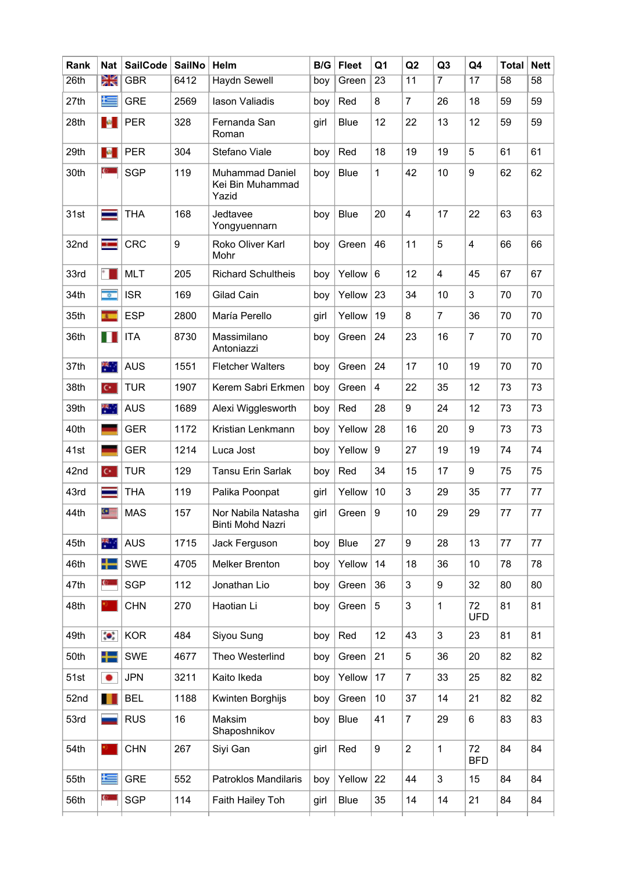| Rank | <b>Nat</b>       | <b>SailCode</b> | <b>SailNo</b> | Helm                                                | B/G  | <b>Fleet</b> | Q <sub>1</sub> | Q2             | Q <sub>3</sub> | Q4               | <b>Total</b>    | <b>Nett</b>     |
|------|------------------|-----------------|---------------|-----------------------------------------------------|------|--------------|----------------|----------------|----------------|------------------|-----------------|-----------------|
| 26th | Ж                | <b>GBR</b>      | 6412          | <b>Haydn Sewell</b>                                 | boy  | Green        | 23             | 11             | $\overline{7}$ | $\overline{17}$  | $\overline{58}$ | $\overline{58}$ |
| 27th | 写                | <b>GRE</b>      | 2569          | lason Valiadis                                      | boy  | Red          | 8              | $\overline{7}$ | 26             | 18               | 59              | 59              |
| 28th | $\mathbf{R}$ .   | <b>PER</b>      | 328           | Fernanda San<br>Roman                               | girl | <b>Blue</b>  | 12             | 22             | 13             | 12               | 59              | 59              |
| 29th | <b>B</b>         | <b>PER</b>      | 304           | Stefano Viale                                       | boy  | Red          | 18             | 19             | 19             | 5                | 61              | 61              |
| 30th | $\mathbf{C}$     | <b>SGP</b>      | 119           | <b>Muhammad Daniel</b><br>Kei Bin Muhammad<br>Yazid | boy  | <b>Blue</b>  | 1              | 42             | 10             | 9                | 62              | 62              |
| 31st |                  | <b>THA</b>      | 168           | Jedtavee<br>Yongyuennarn                            | boy  | <b>Blue</b>  | 20             | $\overline{4}$ | 17             | 22               | 63              | 63              |
| 32nd | <b>START</b>     | <b>CRC</b>      | 9             | Roko Oliver Karl<br>Mohr                            | boy  | Green        | 46             | 11             | 5              | 4                | 66              | 66              |
| 33rd |                  | <b>MLT</b>      | 205           | <b>Richard Schultheis</b>                           | boy  | Yellow       | 6              | 12             | $\overline{4}$ | 45               | 67              | 67              |
| 34th | $\overline{a}$   | <b>ISR</b>      | 169           | <b>Gilad Cain</b>                                   | boy  | Yellow       | 23             | 34             | 10             | 3                | 70              | 70              |
| 35th | $\mathbf{r}$     | <b>ESP</b>      | 2800          | María Perello                                       | girl | Yellow       | 19             | 8              | $\overline{7}$ | 36               | 70              | 70              |
| 36th | Ш                | <b>ITA</b>      | 8730          | Massimilano<br>Antoniazzi                           | boy  | Green        | 24             | 23             | 16             | 7                | 70              | 70              |
| 37th | ¥.               | <b>AUS</b>      | 1551          | <b>Fletcher Walters</b>                             | boy  | Green        | 24             | 17             | 10             | 19               | 70              | 70              |
| 38th | $C^*$            | <b>TUR</b>      | 1907          | Kerem Sabri Erkmen                                  | boy  | Green        | 4              | 22             | 35             | 12               | 73              | 73              |
| 39th | 桥门               | <b>AUS</b>      | 1689          | Alexi Wigglesworth                                  | boy  | Red          | 28             | 9              | 24             | 12               | 73              | 73              |
| 40th |                  | <b>GER</b>      | 1172          | Kristian Lenkmann                                   | boy  | Yellow       | 28             | 16             | 20             | 9                | 73              | 73              |
| 41st |                  | <b>GER</b>      | 1214          | Luca Jost                                           | boy  | Yellow       | 9              | 27             | 19             | 19               | 74              | 74              |
| 42nd | $C^*$            | <b>TUR</b>      | 129           | <b>Tansu Erin Sarlak</b>                            | boy  | Red          | 34             | 15             | 17             | 9                | 75              | 75              |
| 43rd |                  | <b>THA</b>      | 119           | Palika Poonpat                                      | girl | Yellow       | 10             | 3              | 29             | 35               | 77              | 77              |
| 44th | $\bullet \equiv$ | <b>MAS</b>      | 157           | Nor Nabila Natasha<br><b>Binti Mohd Nazri</b>       | girl | Green        | 9              | 10             | 29             | 29               | 77              | 77              |
| 45th | 米山               | <b>AUS</b>      | 1715          | Jack Ferguson                                       | boy  | <b>Blue</b>  | 27             | 9              | 28             | 13               | 77              | 77              |
| 46th | ┿═               | <b>SWE</b>      | 4705          | <b>Melker Brenton</b>                               | boy  | Yellow       | 14             | 18             | 36             | 10               | 78              | 78              |
| 47th | $\mathbf{C}$     | <b>SGP</b>      | 112           | Jonathan Lio                                        | boy  | Green        | 36             | 3              | 9              | 32               | 80              | 80              |
| 48th |                  | <b>CHN</b>      | 270           | Haotian Li                                          | boy  | Green        | 5              | 3              | $\mathbf{1}$   | 72<br><b>UFD</b> | 81              | 81              |
| 49th | $\bullet$        | <b>KOR</b>      | 484           | Siyou Sung                                          | boy  | Red          | 12             | 43             | 3              | 23               | 81              | 81              |
| 50th | ╄═               | <b>SWE</b>      | 4677          | Theo Westerlind                                     | boy  | Green        | 21             | $\overline{5}$ | 36             | 20               | 82              | 82              |
| 51st | ٠                | <b>JPN</b>      | 3211          | Kaito Ikeda                                         | boy  | Yellow       | 17             | $\overline{7}$ | 33             | 25               | 82              | 82              |
| 52nd |                  | <b>BEL</b>      | 1188          | Kwinten Borghijs                                    | boy  | Green        | 10             | 37             | 14             | 21               | 82              | 82              |
| 53rd |                  | <b>RUS</b>      | 16            | Maksim<br>Shaposhnikov                              | boy  | <b>Blue</b>  | 41             | $\overline{7}$ | 29             | 6                | 83              | 83              |
| 54th |                  | <b>CHN</b>      | 267           | Siyi Gan                                            | girl | Red          | 9              | $\overline{c}$ | $\mathbf{1}$   | 72<br><b>BFD</b> | 84              | 84              |
| 55th | Ł                | <b>GRE</b>      | 552           | Patroklos Mandilaris                                | boy  | Yellow       | 22             | 44             | 3              | 15               | 84              | 84              |
| 56th | Q.               | <b>SGP</b>      | 114           | Faith Hailey Toh                                    | girl | <b>Blue</b>  | 35             | 14             | 14             | 21               | 84              | 84              |
|      |                  |                 |               |                                                     |      |              |                |                |                |                  |                 |                 |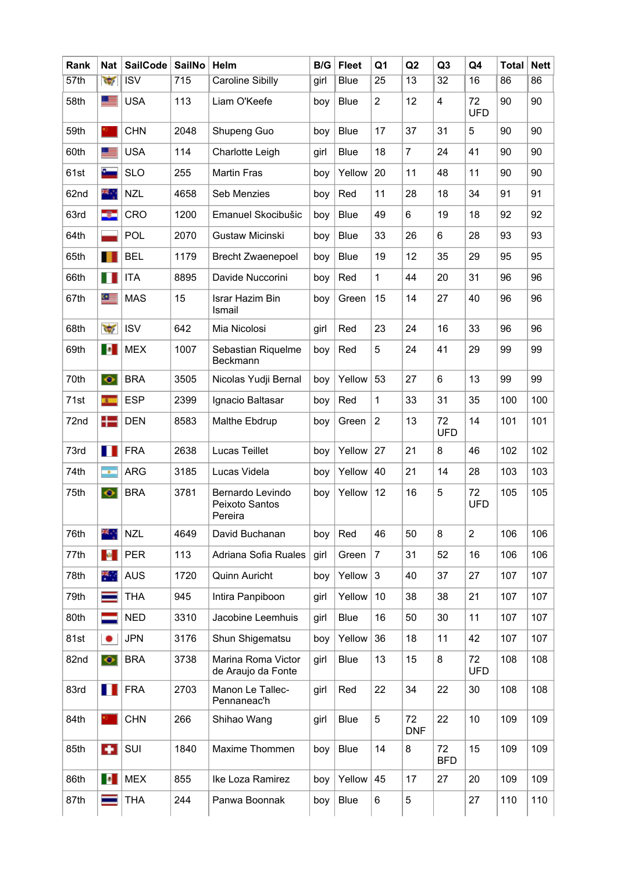| Rank | <b>Nat</b>               | <b>SailCode</b>         | <b>SailNo</b> | Helm                                          | B/G  | <b>Fleet</b> | Q <sub>1</sub>  | Q2               | Q <sub>3</sub>   | Q4               | <b>Total</b> | <b>Nett</b> |
|------|--------------------------|-------------------------|---------------|-----------------------------------------------|------|--------------|-----------------|------------------|------------------|------------------|--------------|-------------|
| 57th | $\sqrt{2}$               | $\overline{\text{ISV}}$ | 715           | <b>Caroline Sibilly</b>                       | girl | <b>Blue</b>  | $\overline{25}$ | $\overline{13}$  | $\overline{32}$  | 16               | 86           | 86          |
| 58th | LE                       | <b>USA</b>              | 113           | Liam O'Keefe                                  | boy  | <b>Blue</b>  | $\overline{c}$  | 12               | 4                | 72<br><b>UFD</b> | 90           | 90          |
| 59th |                          | <b>CHN</b>              | 2048          | Shupeng Guo                                   | boy  | <b>Blue</b>  | 17              | 37               | 31               | 5                | 90           | 90          |
| 60th |                          | <b>USA</b>              | 114           | Charlotte Leigh                               | girl | <b>Blue</b>  | 18              | $\overline{7}$   | 24               | 41               | 90           | 90          |
| 61st | £.                       | <b>SLO</b>              | 255           | <b>Martin Fras</b>                            | boy  | Yellow       | 20              | 11               | 48               | 11               | 90           | 90          |
| 62nd | ж.,                      | <b>NZL</b>              | 4658          | Seb Menzies                                   | boy  | Red          | 11              | 28               | 18               | 34               | 91           | 91          |
| 63rd | -32                      | CRO                     | 1200          | Emanuel Skocibušic                            | boy  | <b>Blue</b>  | 49              | 6                | 19               | 18               | 92           | 92          |
| 64th |                          | POL                     | 2070          | Gustaw Micinski                               | boy  | <b>Blue</b>  | 33              | 26               | 6                | 28               | 93           | 93          |
| 65th |                          | <b>BEL</b>              | 1179          | <b>Brecht Zwaenepoel</b>                      | boy  | <b>Blue</b>  | 19              | 12               | 35               | 29               | 95           | 95          |
| 66th | ш                        | <b>ITA</b>              | 8895          | Davide Nuccorini                              | boy  | Red          | $\mathbf{1}$    | 44               | 20               | 31               | 96           | 96          |
| 67th | $\bullet$                | <b>MAS</b>              | 15            | Israr Hazim Bin<br>Ismail                     | boy  | Green        | 15              | 14               | 27               | 40               | 96           | 96          |
| 68th | $\overline{\mathcal{M}}$ | <b>ISV</b>              | 642           | Mia Nicolosi                                  | girl | Red          | 23              | 24               | 16               | 33               | 96           | 96          |
| 69th | <b>I</b> o               | <b>MEX</b>              | 1007          | Sebastian Riquelme<br>Beckmann                | boy  | Red          | 5               | 24               | 41               | 29               | 99           | 99          |
| 70th | $\bullet$                | <b>BRA</b>              | 3505          | Nicolas Yudji Bernal                          | boy  | Yellow       | 53              | 27               | 6                | 13               | 99           | 99          |
| 71st | $\mathbf{r}$             | <b>ESP</b>              | 2399          | Ignacio Baltasar                              | boy  | Red          | $\mathbf{1}$    | 33               | 31               | 35               | 100          | 100         |
| 72nd | 12                       | <b>DEN</b>              | 8583          | Malthe Ebdrup                                 | boy  | Green        | $\overline{2}$  | 13               | 72<br><b>UFD</b> | 14               | 101          | 101         |
| 73rd | H                        | <b>FRA</b>              | 2638          | Lucas Teillet                                 | boy  | Yellow       | 27              | 21               | 8                | 46               | 102          | 102         |
| 74th | $\mathbf{r}$             | <b>ARG</b>              | 3185          | Lucas Videla                                  | boy  | Yellow       | 40              | 21               | 14               | 28               | 103          | 103         |
| 75th | $\bullet$                | <b>BRA</b>              | 3781          | Bernardo Levindo<br>Peixoto Santos<br>Pereira | boy  | Yellow       | 12              | 16               | 5                | 72<br><b>UFD</b> | 105          | 105         |
| 76th | ж.,                      | <b>NZL</b>              | 4649          | David Buchanan                                | boy  | Red          | 46              | 50               | 8                | $\overline{c}$   | 106          | 106         |
| 77th | ×                        | <b>PER</b>              | 113           | Adriana Sofia Ruales                          | girl | Green        | $\overline{7}$  | 31               | 52               | 16               | 106          | 106         |
| 78th | 米                        | <b>AUS</b>              | 1720          | Quinn Auricht                                 | boy  | Yellow       | $\mathbf{3}$    | 40               | 37               | 27               | 107          | 107         |
| 79th |                          | <b>THA</b>              | 945           | Intira Panpiboon                              | girl | Yellow       | 10              | 38               | 38               | 21               | 107          | 107         |
| 80th |                          | <b>NED</b>              | 3310          | Jacobine Leemhuis                             | girl | <b>Blue</b>  | 16              | 50               | 30               | 11               | 107          | 107         |
| 81st | ٠                        | <b>JPN</b>              | 3176          | Shun Shigematsu                               | boy  | Yellow       | 36              | 18               | 11               | 42               | 107          | 107         |
| 82nd | $\bullet$                | <b>BRA</b>              | 3738          | Marina Roma Victor<br>de Araujo da Fonte      | girl | <b>Blue</b>  | 13              | 15               | 8                | 72<br><b>UFD</b> | 108          | 108         |
| 83rd | . .                      | <b>FRA</b>              | 2703          | Manon Le Tallec-<br>Pennaneac'h               | girl | Red          | 22              | 34               | 22               | 30               | 108          | 108         |
| 84th |                          | <b>CHN</b>              | 266           | Shihao Wang                                   | girl | <b>Blue</b>  | 5               | 72<br><b>DNF</b> | 22               | 10               | 109          | 109         |
| 85th | ÷                        | SUI                     | 1840          | Maxime Thommen                                | boy  | <b>Blue</b>  | 14              | 8                | 72<br><b>BFD</b> | 15               | 109          | 109         |
| 86th | $\bullet$                | <b>MEX</b>              | 855           | Ike Loza Ramirez                              | boy  | Yellow       | 45              | 17               | 27               | 20               | 109          | 109         |
| 87th |                          | <b>THA</b>              | 244           | Panwa Boonnak                                 | boy  | <b>Blue</b>  | 6               | 5                |                  | 27               | 110          | 110         |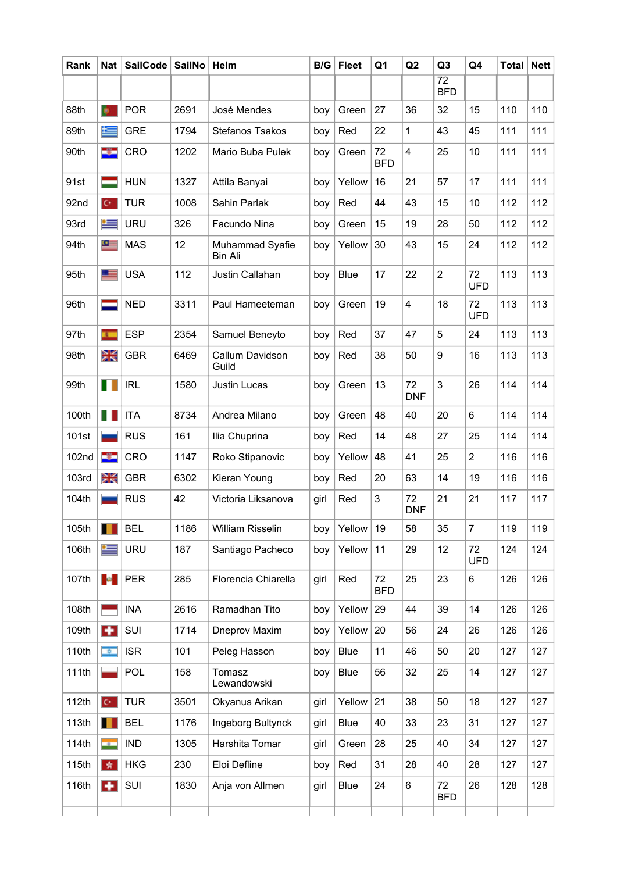| Rank  | Nat                          | <b>SailCode</b> | <b>SailNo</b> | Helm                              | B/G  | <b>Fleet</b> | Q1               | Q2                      | Q <sub>3</sub>                | Q4               | <b>Total</b> | <b>Nett</b> |
|-------|------------------------------|-----------------|---------------|-----------------------------------|------|--------------|------------------|-------------------------|-------------------------------|------------------|--------------|-------------|
|       |                              |                 |               |                                   |      |              |                  |                         | $\overline{72}$<br><b>BFD</b> |                  |              |             |
| 88th  | $\bullet$                    | <b>POR</b>      | 2691          | José Mendes                       | boy  | Green        | 27               | 36                      | 32                            | 15               | 110          | 110         |
| 89th  | 写                            | <b>GRE</b>      | 1794          | Stefanos Tsakos                   | boy  | Red          | 22               | 1                       | 43                            | 45               | 111          | 111         |
| 90th  | -33                          | CRO             | 1202          | Mario Buba Pulek                  | boy  | Green        | 72<br><b>BFD</b> | $\overline{\mathbf{4}}$ | 25                            | 10               | 111          | 111         |
| 91st  |                              | <b>HUN</b>      | 1327          | Attila Banyai                     | boy  | Yellow       | 16               | 21                      | 57                            | 17               | 111          | 111         |
| 92nd  | $\mathbf{C}^{\star}$ .       | <b>TUR</b>      | 1008          | Sahin Parlak                      | boy  | Red          | 44               | 43                      | 15                            | 10               | 112          | 112         |
| 93rd  | ≔                            | URU             | 326           | Facundo Nina                      | boy  | Green        | 15               | 19                      | 28                            | 50               | 112          | 112         |
| 94th  | $\bullet$                    | <b>MAS</b>      | 12            | Muhammad Syafie<br><b>Bin Ali</b> | boy  | Yellow       | 30               | 43                      | 15                            | 24               | 112          | 112         |
| 95th  | 里                            | <b>USA</b>      | 112           | Justin Callahan                   | boy  | <b>Blue</b>  | 17               | 22                      | $\overline{2}$                | 72<br><b>UFD</b> | 113          | 113         |
| 96th  |                              | <b>NED</b>      | 3311          | Paul Hameeteman                   | boy  | Green        | 19               | 4                       | 18                            | 72<br><b>UFD</b> | 113          | 113         |
| 97th  | $\mathbf{r}$                 | <b>ESP</b>      | 2354          | Samuel Beneyto                    | boy  | Red          | 37               | 47                      | 5                             | 24               | 113          | 113         |
| 98th  | Ж                            | <b>GBR</b>      | 6469          | Callum Davidson<br>Guild          | boy  | Red          | 38               | 50                      | $\boldsymbol{9}$              | 16               | 113          | 113         |
| 99th  | H                            | <b>IRL</b>      | 1580          | <b>Justin Lucas</b>               | boy  | Green        | 13               | 72<br><b>DNF</b>        | 3                             | 26               | 114          | 114         |
| 100th |                              | <b>ITA</b>      | 8734          | Andrea Milano                     | boy  | Green        | 48               | 40                      | 20                            | 6                | 114          | 114         |
| 101st |                              | <b>RUS</b>      | 161           | Ilia Chuprina                     | boy  | Red          | 14               | 48                      | 27                            | 25               | 114          | 114         |
| 102nd | -31                          | CRO             | 1147          | Roko Stipanovic                   | boy  | Yellow       | 48               | 41                      | 25                            | $\overline{2}$   | 116          | 116         |
| 103rd | Ж                            | <b>GBR</b>      | 6302          | Kieran Young                      | boy  | Red          | 20               | 63                      | 14                            | 19               | 116          | 116         |
| 104th |                              | <b>RUS</b>      | 42            | Victoria Liksanova                | girl | Red          | 3                | 72<br><b>DNF</b>        | 21                            | 21               | 117          | 117         |
| 105th |                              | <b>BEL</b>      | 1186          | William Risselin                  | boy  | Yellow       | 19               | 58                      | 35                            | $\overline{7}$   | 119          | 119         |
| 106th | $\equiv$                     | <b>URU</b>      | 187           | Santiago Pacheco                  | boy  | Yellow       | 11               | 29                      | 12                            | 72<br><b>UFD</b> | 124          | 124         |
| 107th | $\mathcal{M}_{\mathrm{eff}}$ | <b>PER</b>      | 285           | Florencia Chiarella               | girl | Red          | 72<br><b>BFD</b> | 25                      | 23                            | 6                | 126          | 126         |
| 108th |                              | <b>INA</b>      | 2616          | Ramadhan Tito                     | boy  | Yellow       | 29               | 44                      | 39                            | 14               | 126          | 126         |
| 109th | $\left  \cdot \right $       | SUI             | 1714          | Dneprov Maxim                     | boy  | Yellow       | 20               | 56                      | 24                            | 26               | 126          | 126         |
| 110th | $\overline{a}$               | <b>ISR</b>      | 101           | Peleg Hasson                      | boy  | <b>Blue</b>  | 11               | 46                      | 50                            | 20               | 127          | 127         |
| 111th |                              | <b>POL</b>      | 158           | Tomasz<br>Lewandowski             | boy  | <b>Blue</b>  | 56               | 32                      | 25                            | 14               | 127          | 127         |
| 112th | $C^*$                        | <b>TUR</b>      | 3501          | Okyanus Arikan                    | girl | Yellow       | 21               | 38                      | 50                            | 18               | 127          | 127         |
| 113th |                              | <b>BEL</b>      | 1176          | Ingeborg Bultynck                 | girl | <b>Blue</b>  | 40               | 33                      | 23                            | 31               | 127          | 127         |
| 114th | <b>CONTRACTOR</b>            | <b>IND</b>      | 1305          | Harshita Tomar                    | girl | Green        | 28               | 25                      | 40                            | 34               | 127          | 127         |
| 115th | 女                            | <b>HKG</b>      | 230           | Eloi Defline                      | boy  | Red          | 31               | 28                      | 40                            | 28               | 127          | 127         |
| 116th | м                            | SUI             | 1830          | Anja von Allmen                   | girl | <b>Blue</b>  | 24               | 6                       | 72<br><b>BFD</b>              | 26               | 128          | 128         |
|       |                              |                 |               |                                   |      |              |                  |                         |                               |                  |              |             |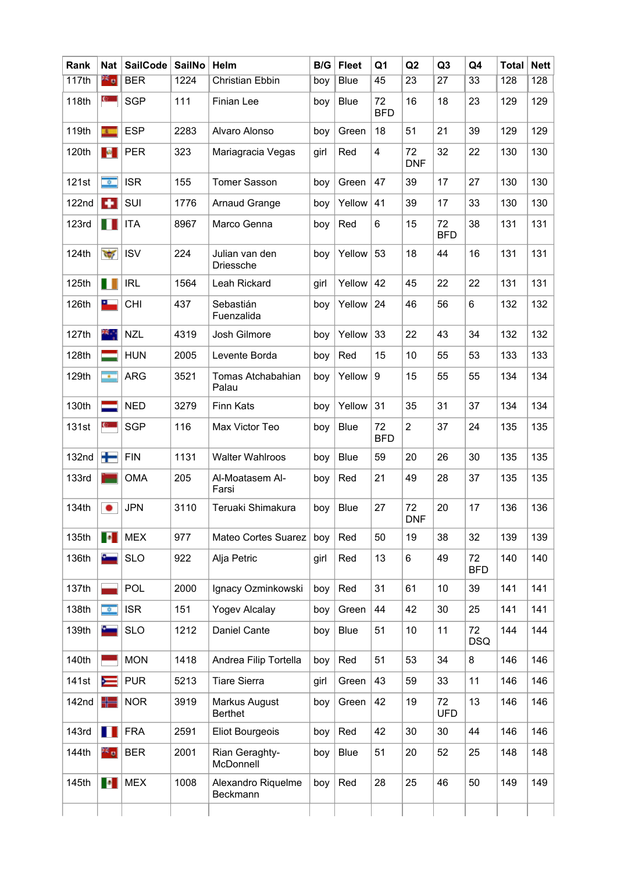| Rank  | <b>Nat</b>                   | <b>SailCode</b> | <b>SailNo</b> | Helm                               | B/G  | <b>Fleet</b> | Q1               | Q <sub>2</sub>   | Q <sub>3</sub>   | Q4               | <b>Total</b> | <b>Nett</b> |
|-------|------------------------------|-----------------|---------------|------------------------------------|------|--------------|------------------|------------------|------------------|------------------|--------------|-------------|
| 117th | eg e                         | <b>BER</b>      | 1224          | <b>Christian Ebbin</b>             | boy  | <b>Blue</b>  | 45               | $\overline{23}$  | $\overline{27}$  | $\overline{33}$  | 128          | 128         |
| 118th | $\mathbf{c}$                 | <b>SGP</b>      | 111           | Finian Lee                         | boy  | <b>Blue</b>  | 72<br><b>BFD</b> | 16               | 18               | 23               | 129          | 129         |
| 119th | $\mathbf{A}$                 | <b>ESP</b>      | 2283          | Alvaro Alonso                      | boy  | Green        | 18               | 51               | 21               | 39               | 129          | 129         |
| 120th | $\mathcal{M}_{\mathrm{eff}}$ | <b>PER</b>      | 323           | Mariagracia Vegas                  | girl | Red          | 4                | 72<br><b>DNF</b> | 32               | 22               | 130          | 130         |
| 121st | $\theta$                     | <b>ISR</b>      | 155           | <b>Tomer Sasson</b>                | boy  | Green        | 47               | 39               | 17               | 27               | 130          | 130         |
| 122nd | ÷                            | SUI             | 1776          | <b>Arnaud Grange</b>               | boy  | Yellow       | 41               | 39               | 17               | 33               | 130          | 130         |
| 123rd | ш                            | <b>ITA</b>      | 8967          | Marco Genna                        | boy  | Red          | 6                | 15               | 72<br><b>BFD</b> | 38               | 131          | 131         |
| 124th | $\frac{1}{2}$                | <b>ISV</b>      | 224           | Julian van den<br><b>Driessche</b> | boy  | Yellow       | 53               | 18               | 44               | 16               | 131          | 131         |
| 125th | Ш                            | <b>IRL</b>      | 1564          | Leah Rickard                       | girl | Yellow       | 42               | 45               | 22               | 22               | 131          | 131         |
| 126th | ╾                            | <b>CHI</b>      | 437           | Sebastián<br>Fuenzalida            | boy  | Yellow       | 24               | 46               | 56               | 6                | 132          | 132         |
| 127th | 联合                           | <b>NZL</b>      | 4319          | Josh Gilmore                       | boy  | Yellow       | 33               | 22               | 43               | 34               | 132          | 132         |
| 128th |                              | <b>HUN</b>      | 2005          | Levente Borda                      | boy  | Red          | 15               | 10               | 55               | 53               | 133          | 133         |
| 129th | ×.                           | <b>ARG</b>      | 3521          | Tomas Atchabahian<br>Palau         | boy  | Yellow       | 9                | 15               | 55               | 55               | 134          | 134         |
| 130th |                              | <b>NED</b>      | 3279          | <b>Finn Kats</b>                   | boy  | Yellow       | 31               | 35               | 31               | 37               | 134          | 134         |
| 131st | $\mathbf{C}$                 | <b>SGP</b>      | 116           | Max Victor Teo                     | boy  | <b>Blue</b>  | 72<br><b>BFD</b> | $\overline{c}$   | 37               | 24               | 135          | 135         |
| 132nd | ╈                            | <b>FIN</b>      | 1131          | <b>Walter Wahlroos</b>             | boy  | <b>Blue</b>  | 59               | 20               | 26               | 30               | 135          | 135         |
| 133rd |                              | <b>OMA</b>      | 205           | Al-Moatasem Al-<br>Farsi           | boy  | Red          | 21               | 49               | 28               | 37               | 135          | 135         |
| 134th | $\bullet$                    | <b>JPN</b>      | 3110          | Teruaki Shimakura                  | boy  | <b>Blue</b>  | 27               | 72<br><b>DNF</b> | 20               | 17               | 136          | 136         |
| 135th | п                            | <b>MEX</b>      | 977           | Mateo Cortes Suarez                | boy  | Red          | 50               | 19               | 38               | 32               | 139          | 139         |
| 136th |                              | <b>SLO</b>      | 922           | Alja Petric                        | girl | Red          | 13               | 6                | 49               | 72<br><b>BFD</b> | 140          | 140         |
| 137th |                              | POL             | 2000          | Ignacy Ozminkowski                 | boy  | Red          | 31               | 61               | 10               | 39               | 141          | 141         |
| 138th | $\theta$                     | <b>ISR</b>      | 151           | <b>Yogev Alcalay</b>               | boy  | Green        | 44               | 42               | 30               | 25               | 141          | 141         |
| 139th |                              | <b>SLO</b>      | 1212          | Daniel Cante                       | boy  | <b>Blue</b>  | 51               | 10               | 11               | 72<br><b>DSQ</b> | 144          | 144         |
| 140th |                              | <b>MON</b>      | 1418          | Andrea Filip Tortella              | boy  | Red          | 51               | 53               | 34               | 8                | 146          | 146         |
| 141st |                              | <b>PUR</b>      | 5213          | <b>Tiare Sierra</b>                | girl | Green        | 43               | 59               | 33               | 11               | 146          | 146         |
| 142nd | ╬═                           | <b>NOR</b>      | 3919          | Markus August<br><b>Berthet</b>    | boy  | Green        | 42               | 19               | 72<br><b>UFD</b> | 13               | 146          | 146         |
| 143rd | П                            | <b>FRA</b>      | 2591          | <b>Eliot Bourgeois</b>             | boy  | Red          | 42               | 30               | 30               | 44               | 146          | 146         |
| 144th | 24 g                         | <b>BER</b>      | 2001          | Rian Geraghty-<br>McDonnell        | boy  | <b>Blue</b>  | 51               | 20               | 52               | 25               | 148          | 148         |
| 145th | $\bullet$                    | <b>MEX</b>      | 1008          | Alexandro Riquelme<br>Beckmann     | boy  | Red          | 28               | 25               | 46               | 50               | 149          | 149         |
|       |                              |                 |               |                                    |      |              |                  |                  |                  |                  |              |             |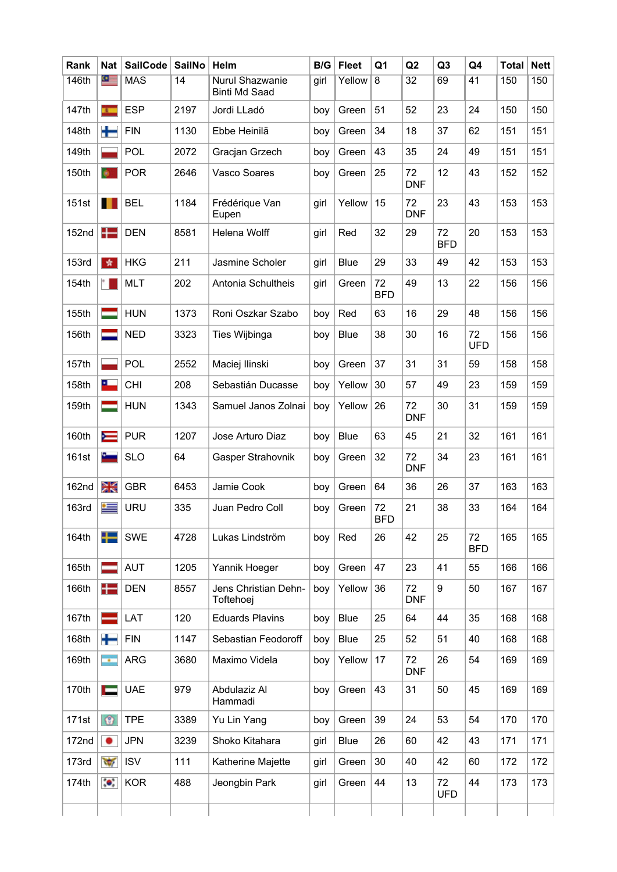| Rank         | <b>Nat</b>                  | <b>SailCode</b> | <b>SailNo</b> | Helm                                    | B/G  | <b>Fleet</b> | Q <sub>1</sub>   | Q2               | Q <sub>3</sub>   | Q4               | <b>Total</b> | <b>Nett</b> |
|--------------|-----------------------------|-----------------|---------------|-----------------------------------------|------|--------------|------------------|------------------|------------------|------------------|--------------|-------------|
| 146th        | $\circ$ $=$                 | <b>MAS</b>      | 14            | Nurul Shazwanie<br><b>Binti Md Saad</b> | girl | Yellow       | $\overline{8}$   | $\overline{32}$  | 69               | 41               | 150          | 150         |
| 147th        | $\overline{1}$              | <b>ESP</b>      | 2197          | Jordi LLadó                             | boy  | Green        | 51               | 52               | 23               | 24               | 150          | 150         |
| 148th        | ╇                           | <b>FIN</b>      | 1130          | Ebbe Heinilä                            | boy  | Green        | 34               | 18               | 37               | 62               | 151          | 151         |
| 149th        |                             | POL             | 2072          | Gracjan Grzech                          | boy  | Green        | 43               | 35               | 24               | 49               | 151          | 151         |
| 150th        |                             | <b>POR</b>      | 2646          | Vasco Soares                            | boy  | Green        | 25               | 72<br><b>DNF</b> | 12               | 43               | 152          | 152         |
| 151st        |                             | <b>BEL</b>      | 1184          | Frédérique Van<br>Eupen                 | girl | Yellow       | 15               | 72<br><b>DNF</b> | 23               | 43               | 153          | 153         |
| 152nd        |                             | <b>DEN</b>      | 8581          | Helena Wolff                            | girl | Red          | 32               | 29               | 72<br><b>BFD</b> | 20               | 153          | 153         |
| 153rd        | *                           | <b>HKG</b>      | 211           | Jasmine Scholer                         | girl | <b>Blue</b>  | 29               | 33               | 49               | 42               | 153          | 153         |
| 154th        |                             | <b>MLT</b>      | 202           | Antonia Schultheis                      | girl | Green        | 72<br><b>BFD</b> | 49               | 13               | 22               | 156          | 156         |
| 155th        |                             | <b>HUN</b>      | 1373          | Roni Oszkar Szabo                       | boy  | Red          | 63               | 16               | 29               | 48               | 156          | 156         |
| 156th        |                             | <b>NED</b>      | 3323          | Ties Wijbinga                           | boy  | <b>Blue</b>  | 38               | 30               | 16               | 72<br><b>UFD</b> | 156          | 156         |
| 157th        |                             | POL             | 2552          | Maciej Ilinski                          | boy  | Green        | 37               | 31               | 31               | 59               | 158          | 158         |
| 158th        | ௨                           | <b>CHI</b>      | 208           | Sebastián Ducasse                       | boy  | Yellow       | 30               | 57               | 49               | 23               | 159          | 159         |
| 159th        |                             | <b>HUN</b>      | 1343          | Samuel Janos Zolnai                     | boy  | Yellow       | 26               | 72<br><b>DNF</b> | 30               | 31               | 159          | 159         |
| 160th        | $\equiv$                    | <b>PUR</b>      | 1207          | Jose Arturo Diaz                        | boy  | <b>Blue</b>  | 63               | 45               | 21               | 32               | 161          | 161         |
| 161st        |                             | <b>SLO</b>      | 64            | <b>Gasper Strahovnik</b>                | boy  | Green        | 32               | 72<br><b>DNF</b> | 34               | 23               | 161          | 161         |
| 162nd        | Ж                           | <b>GBR</b>      | 6453          | Jamie Cook                              | boy  | Green        | 64               | 36               | 26               | 37               | 163          | 163         |
| <b>163rd</b> | $\equiv$                    | <b>URU</b>      | 335           | Juan Pedro Coll                         | boy  | Green        | 72<br><b>BFD</b> | 21               | 38               | 33               | 164          | 164         |
| 164th        |                             | <b>SWE</b>      | 4728          | Lukas Lindström                         | boy  | Red          | 26               | 42               | 25               | 72<br><b>BFD</b> | 165          | 165         |
| 165th        |                             | <b>AUT</b>      | 1205          | Yannik Hoeger                           | boy  | Green        | 47               | 23               | 41               | 55               | 166          | 166         |
| 166th        |                             | <b>DEN</b>      | 8557          | Jens Christian Dehn-<br>Toftehoej       | boy  | Yellow       | 36               | 72<br><b>DNF</b> | 9                | 50               | 167          | 167         |
| 167th        |                             | LAT             | 120           | <b>Eduards Plavins</b>                  | boy  | <b>Blue</b>  | 25               | 64               | 44               | 35               | 168          | 168         |
| 168th        | ╈                           | <b>FIN</b>      | 1147          | Sebastian Feodoroff                     | boy  | <b>Blue</b>  | 25               | 52               | 51               | 40               | 168          | 168         |
| 169th        | $\mathcal{L}_{\mathcal{A}}$ | <b>ARG</b>      | 3680          | Maximo Videla                           | boy  | Yellow       | 17               | 72<br><b>DNF</b> | 26               | 54               | 169          | 169         |
| 170th        |                             | <b>UAE</b>      | 979           | Abdulaziz Al<br>Hammadi                 | boy  | Green        | 43               | 31               | 50               | 45               | 169          | 169         |
| 171st        | $^{\circ}$                  | <b>TPE</b>      | 3389          | Yu Lin Yang                             | boy  | Green        | 39               | 24               | 53               | 54               | 170          | 170         |
| 172nd        |                             | <b>JPN</b>      | 3239          | Shoko Kitahara                          | girl | <b>Blue</b>  | 26               | 60               | 42               | 43               | 171          | 171         |
| 173rd        | $\overline{\mathcal{M}}$    | <b>ISV</b>      | 111           | Katherine Majette                       | girl | Green        | 30               | 40               | 42               | 60               | 172          | 172         |
| 174th        | $\bullet$                   | <b>KOR</b>      | 488           | Jeongbin Park                           | girl | Green        | 44               | 13               | 72<br><b>UFD</b> | 44               | 173          | 173         |
|              |                             |                 |               |                                         |      |              |                  |                  |                  |                  |              |             |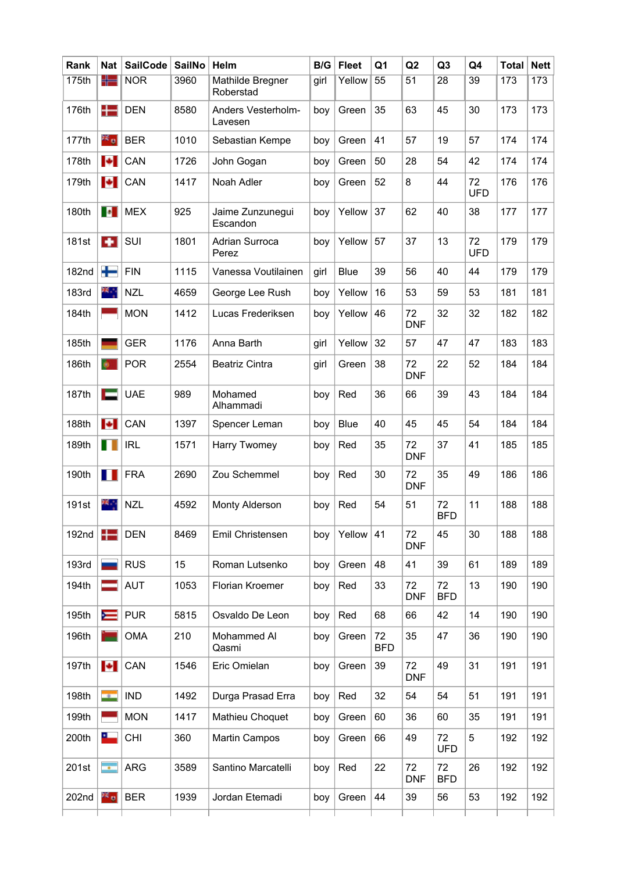| Rank  | <b>Nat</b>       | <b>SailCode</b> | <b>SailNo</b> | Helm                           | B/G  | <b>Fleet</b> | Q <sub>1</sub>   | Q2               | Q <sub>3</sub>   | Q4               | <b>Total</b> | <b>Nett</b> |
|-------|------------------|-----------------|---------------|--------------------------------|------|--------------|------------------|------------------|------------------|------------------|--------------|-------------|
| 175th | ╬═               | <b>NOR</b>      | 3960          | Mathilde Bregner<br>Roberstad  | girl | Yellow       | 55               | $\overline{51}$  | 28               | 39               | 173          | 173         |
| 176th | æ                | <b>DEN</b>      | 8580          | Anders Vesterholm-<br>Lavesen  | boy  | Green        | 35               | 63               | 45               | 30               | 173          | 173         |
| 177th | es o             | <b>BER</b>      | 1010          | Sebastian Kempe                | boy  | Green        | 41               | 57               | 19               | 57               | 174          | 174         |
| 178th | $\ddot{\bullet}$ | CAN             | 1726          | John Gogan                     | boy  | Green        | 50               | 28               | 54               | 42               | 174          | 174         |
| 179th | H                | CAN             | 1417          | Noah Adler                     | boy  | Green        | 52               | 8                | 44               | 72<br><b>UFD</b> | 176          | 176         |
| 180th | <b>P</b>         | <b>MEX</b>      | 925           | Jaime Zunzunegui<br>Escandon   | boy  | Yellow       | 37               | 62               | 40               | 38               | 177          | 177         |
| 181st | <b>A</b>         | SUI             | 1801          | <b>Adrian Surroca</b><br>Perez | boy  | Yellow       | 57               | 37               | 13               | 72<br><b>UFD</b> | 179          | 179         |
| 182nd | ╈                | <b>FIN</b>      | 1115          | Vanessa Voutilainen            | girl | <b>Blue</b>  | 39               | 56               | 40               | 44               | 179          | 179         |
| 183rd | ж.,              | <b>NZL</b>      | 4659          | George Lee Rush                | boy  | Yellow       | 16               | 53               | 59               | 53               | 181          | 181         |
| 184th |                  | <b>MON</b>      | 1412          | Lucas Frederiksen              | boy  | Yellow       | 46               | 72<br><b>DNF</b> | 32               | 32               | 182          | 182         |
| 185th |                  | <b>GER</b>      | 1176          | Anna Barth                     | girl | Yellow       | 32               | 57               | 47               | 47               | 183          | 183         |
| 186th | $\bullet$        | <b>POR</b>      | 2554          | <b>Beatriz Cintra</b>          | girl | Green        | 38               | 72<br><b>DNF</b> | 22               | 52               | 184          | 184         |
| 187th |                  | <b>UAE</b>      | 989           | Mohamed<br>Alhammadi           | boy  | Red          | 36               | 66               | 39               | 43               | 184          | 184         |
| 188th | $\ddot{\bullet}$ | CAN             | 1397          | Spencer Leman                  | boy  | <b>Blue</b>  | 40               | 45               | 45               | 54               | 184          | 184         |
| 189th | ш                | <b>IRL</b>      | 1571          | Harry Twomey                   | boy  | Red          | 35               | 72<br><b>DNF</b> | 37               | 41               | 185          | 185         |
| 190th | П                | <b>FRA</b>      | 2690          | Zou Schemmel                   | boy  | Red          | 30               | 72<br><b>DNF</b> | 35               | 49               | 186          | 186         |
| 191st | ж.,              | <b>NZL</b>      | 4592          | <b>Monty Alderson</b>          | boy  | Red          | 54               | 51               | 72<br><b>BFD</b> | 11               | 188          | 188         |
| 192nd | $\pm$            | <b>DEN</b>      | 8469          | Emil Christensen               | boy  | Yellow       | 41               | 72<br><b>DNF</b> | 45               | 30               | 188          | 188         |
| 193rd |                  | <b>RUS</b>      | 15            | Roman Lutsenko                 | boy  | Green        | 48               | 41               | 39               | 61               | 189          | 189         |
| 194th |                  | <b>AUT</b>      | 1053          | Florian Kroemer                | boy  | Red          | 33               | 72<br><b>DNF</b> | 72<br><b>BFD</b> | 13               | 190          | 190         |
| 195th | ≂                | <b>PUR</b>      | 5815          | Osvaldo De Leon                | boy  | Red          | 68               | 66               | 42               | 14               | 190          | 190         |
| 196th |                  | <b>OMA</b>      | 210           | Mohammed Al<br>Qasmi           | boy  | Green        | 72<br><b>BFD</b> | 35               | 47               | 36               | 190          | 190         |
| 197th | Н                | CAN             | 1546          | Eric Omielan                   | boy  | Green        | 39               | 72<br><b>DNF</b> | 49               | 31               | 191          | 191         |
| 198th | - 1              | <b>IND</b>      | 1492          | Durga Prasad Erra              | boy  | Red          | 32               | 54               | 54               | 51               | 191          | 191         |
| 199th |                  | <b>MON</b>      | 1417          | Mathieu Choquet                | boy  | Green        | 60               | 36               | 60               | 35               | 191          | 191         |
| 200th | உ                | <b>CHI</b>      | 360           | <b>Martin Campos</b>           | boy  | Green        | 66               | 49               | 72<br><b>UFD</b> | 5                | 192          | 192         |
| 201st | $\mathbf{r}$     | <b>ARG</b>      | 3589          | Santino Marcatelli             | boy  | Red          | 22               | 72<br><b>DNF</b> | 72<br><b>BFD</b> | 26               | 192          | 192         |
| 202nd | $\frac{1}{2}$    | <b>BER</b>      | 1939          | Jordan Etemadi                 | boy  | Green        | 44               | 39               | 56               | 53               | 192          | 192         |
|       |                  |                 |               |                                |      |              |                  |                  |                  |                  |              |             |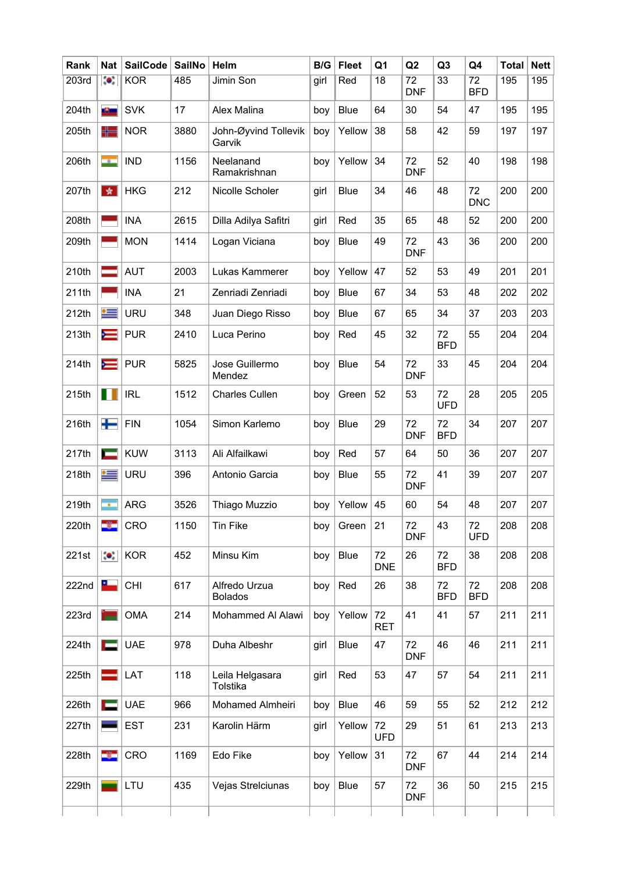| Rank  | <b>Nat</b>                  | <b>SailCode</b> | <b>SailNo</b> | Helm                            | B/G  | <b>Fleet</b> | Q1               | Q <sub>2</sub>                | Q <sub>3</sub>   | Q4                            | <b>Total</b> | <b>Nett</b> |
|-------|-----------------------------|-----------------|---------------|---------------------------------|------|--------------|------------------|-------------------------------|------------------|-------------------------------|--------------|-------------|
| 203rd | $\bullet.$                  | <b>KOR</b>      | 485           | Jimin Son                       | girl | Red          | 18               | $\overline{72}$<br><b>DNF</b> | $\overline{33}$  | $\overline{72}$<br><b>BFD</b> | 195          | 195         |
| 204th | a Shine                     | <b>SVK</b>      | 17            | Alex Malina                     | boy  | <b>Blue</b>  | 64               | 30                            | 54               | 47                            | 195          | 195         |
| 205th | ╬═                          | <b>NOR</b>      | 3880          | John-Øyvind Tollevik<br>Garvik  | boy  | Yellow       | 38               | 58                            | 42               | 59                            | 197          | 197         |
| 206th | <b>Card</b>                 | <b>IND</b>      | 1156          | Neelanand<br>Ramakrishnan       | boy  | Yellow       | 34               | 72<br><b>DNF</b>              | 52               | 40                            | 198          | 198         |
| 207th | 女                           | <b>HKG</b>      | 212           | Nicolle Scholer                 | girl | <b>Blue</b>  | 34               | 46                            | 48               | 72<br><b>DNC</b>              | 200          | 200         |
| 208th |                             | <b>INA</b>      | 2615          | Dilla Adilya Safitri            | girl | Red          | 35               | 65                            | 48               | 52                            | 200          | 200         |
| 209th |                             | <b>MON</b>      | 1414          | Logan Viciana                   | boy  | <b>Blue</b>  | 49               | 72<br><b>DNF</b>              | 43               | 36                            | 200          | 200         |
| 210th |                             | <b>AUT</b>      | 2003          | Lukas Kammerer                  | boy  | Yellow       | 47               | 52                            | 53               | 49                            | 201          | 201         |
| 211th |                             | <b>INA</b>      | 21            | Zenriadi Zenriadi               | boy  | <b>Blue</b>  | 67               | 34                            | 53               | 48                            | 202          | 202         |
| 212th | $\equiv$                    | <b>URU</b>      | 348           | Juan Diego Risso                | boy  | <b>Blue</b>  | 67               | 65                            | 34               | 37                            | 203          | 203         |
| 213th | $\equiv$                    | <b>PUR</b>      | 2410          | Luca Perino                     | boy  | Red          | 45               | 32                            | 72<br><b>BFD</b> | 55                            | 204          | 204         |
| 214th | $\equiv$                    | <b>PUR</b>      | 5825          | Jose Guillermo<br>Mendez        | boy  | <b>Blue</b>  | 54               | 72<br><b>DNF</b>              | 33               | 45                            | 204          | 204         |
| 215th | Ш                           | <b>IRL</b>      | 1512          | <b>Charles Cullen</b>           | boy  | Green        | 52               | 53                            | 72<br><b>UFD</b> | 28                            | 205          | 205         |
| 216th | ┿                           | <b>FIN</b>      | 1054          | Simon Karlemo                   | boy  | <b>Blue</b>  | 29               | 72<br><b>DNF</b>              | 72<br><b>BFD</b> | 34                            | 207          | 207         |
| 217th |                             | <b>KUW</b>      | 3113          | Ali Alfailkawi                  | boy  | Red          | 57               | 64                            | 50               | 36                            | 207          | 207         |
| 218th | ≔                           | <b>URU</b>      | 396           | Antonio Garcia                  | boy  | <b>Blue</b>  | 55               | 72<br><b>DNF</b>              | 41               | 39                            | 207          | 207         |
| 219th | $\mathcal{L}_{\mathcal{A}}$ | <b>ARG</b>      | 3526          | Thiago Muzzio                   | boy  | Yellow       | 45               | 60                            | 54               | 48                            | 207          | 207         |
| 220th | -6                          | CRO             | 1150          | Tin Fike                        | boy  | Green        | 21               | 72<br><b>DNF</b>              | 43               | 72<br><b>UFD</b>              | 208          | 208         |
| 221st | $\bullet$                   | <b>KOR</b>      | 452           | Minsu Kim                       | boy  | Blue         | 72<br><b>DNE</b> | 26                            | 72<br><b>BFD</b> | 38                            | 208          | 208         |
| 222nd | a.                          | <b>CHI</b>      | 617           | Alfredo Urzua<br><b>Bolados</b> | boy  | Red          | 26               | 38                            | 72<br><b>BFD</b> | 72<br><b>BFD</b>              | 208          | 208         |
| 223rd |                             | <b>OMA</b>      | 214           | Mohammed Al Alawi               | boy  | Yellow       | 72<br><b>RET</b> | 41                            | 41               | 57                            | 211          | 211         |
| 224th |                             | <b>UAE</b>      | 978           | Duha Albeshr                    | girl | <b>Blue</b>  | 47               | 72<br><b>DNF</b>              | 46               | 46                            | 211          | 211         |
| 225th |                             | LAT             | 118           | Leila Helgasara<br>Tolstika     | girl | Red          | 53               | 47                            | 57               | 54                            | 211          | 211         |
| 226th |                             | <b>UAE</b>      | 966           | Mohamed Almheiri                | boy  | <b>Blue</b>  | 46               | 59                            | 55               | 52                            | 212          | 212         |
| 227th |                             | <b>EST</b>      | 231           | Karolin Härm                    | girl | Yellow       | 72<br><b>UFD</b> | 29                            | 51               | 61                            | 213          | 213         |
| 228th | -3-                         | CRO             | 1169          | Edo Fike                        | boy  | Yellow       | 31               | 72<br><b>DNF</b>              | 67               | 44                            | 214          | 214         |
| 229th |                             | LTU             | 435           | Vejas Strelciunas               | boy  | <b>Blue</b>  | 57               | 72<br><b>DNF</b>              | 36               | 50                            | 215          | 215         |
|       |                             |                 |               |                                 |      |              |                  |                               |                  |                               |              |             |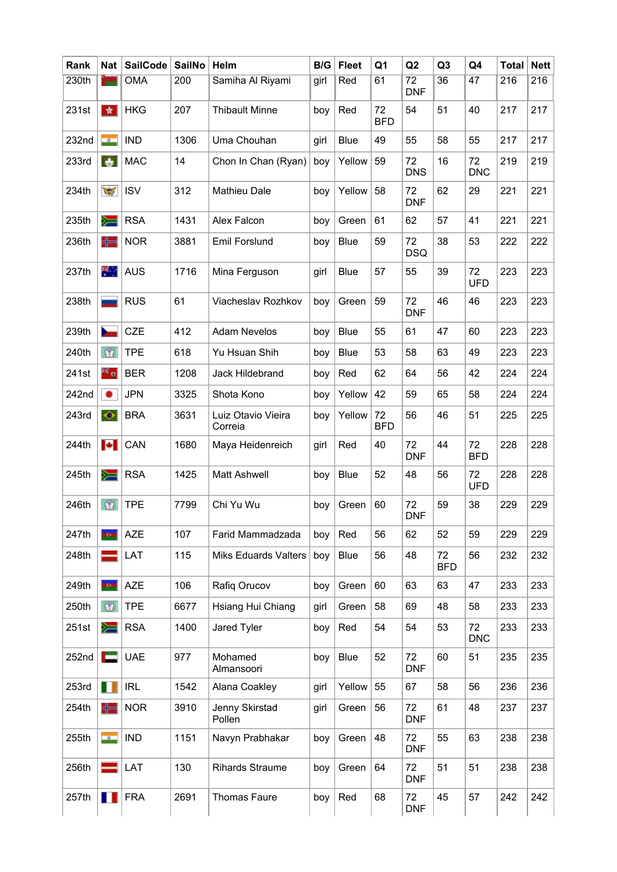| Rank  | Nat                      | <b>SailCode</b> | <b>SailNo</b> | Helm                          | B/G  | <b>Fleet</b> | Q1               | Q2                            | Q3               | Q4               | <b>Total</b> | <b>Nett</b> |
|-------|--------------------------|-----------------|---------------|-------------------------------|------|--------------|------------------|-------------------------------|------------------|------------------|--------------|-------------|
| 230th |                          | <b>OMA</b>      | 200           | Samiha Al Riyami              | girl | Red          | 61               | $\overline{72}$<br><b>DNF</b> | $\overline{36}$  | 47               | 216          | 216         |
| 231st | 女                        | <b>HKG</b>      | 207           | <b>Thibault Minne</b>         | boy  | Red          | 72<br><b>BFD</b> | 54                            | 51               | 40               | 217          | 217         |
| 232nd | <b>COLL</b>              | <b>IND</b>      | 1306          | Uma Chouhan                   | girl | <b>Blue</b>  | 49               | 55                            | 58               | 55               | 217          | 217         |
| 233rd | $\bullet$                | <b>MAC</b>      | 14            | Chon In Chan (Ryan)           | boy  | Yellow       | 59               | 72<br><b>DNS</b>              | 16               | 72<br><b>DNC</b> | 219          | 219         |
| 234th | $\frac{1}{2}$            | <b>ISV</b>      | 312           | <b>Mathieu Dale</b>           | boy  | Yellow       | 58               | 72<br><b>DNF</b>              | 62               | 29               | 221          | 221         |
| 235th | ≋                        | <b>RSA</b>      | 1431          | Alex Falcon                   | boy  | Green        | 61               | 62                            | 57               | 41               | 221          | 221         |
| 236th | ╬═                       | <b>NOR</b>      | 3881          | <b>Emil Forslund</b>          | boy  | <b>Blue</b>  | 59               | 72<br><b>DSQ</b>              | 38               | 53               | 222          | 222         |
| 237th | 类。                       | <b>AUS</b>      | 1716          | Mina Ferguson                 | girl | <b>Blue</b>  | 57               | 55                            | 39               | 72<br><b>UFD</b> | 223          | 223         |
| 238th |                          | <b>RUS</b>      | 61            | Viacheslav Rozhkov            | boy  | Green        | 59               | 72<br><b>DNF</b>              | 46               | 46               | 223          | 223         |
| 239th | N                        | <b>CZE</b>      | 412           | <b>Adam Nevelos</b>           | boy  | <b>Blue</b>  | 55               | 61                            | 47               | 60               | 223          | 223         |
| 240th | $\circ$                  | <b>TPE</b>      | 618           | Yu Hsuan Shih                 | boy  | <b>Blue</b>  | 53               | 58                            | 63               | 49               | 223          | 223         |
| 241st | ≥≦ o                     | <b>BER</b>      | 1208          | Jack Hildebrand               | boy  | Red          | 62               | 64                            | 56               | 42               | 224          | 224         |
| 242nd | ٠                        | <b>JPN</b>      | 3325          | Shota Kono                    | boy  | Yellow       | 42               | 59                            | 65               | 58               | 224          | 224         |
| 243rd | $\bullet$                | <b>BRA</b>      | 3631          | Luiz Otavio Vieira<br>Correia | boy  | Yellow       | 72<br><b>BFD</b> | 56                            | 46               | 51               | 225          | 225         |
| 244th | $\left  \bullet \right $ | CAN             | 1680          | Maya Heidenreich              | girl | Red          | 40               | 72<br><b>DNF</b>              | 44               | 72<br><b>BFD</b> | 228          | 228         |
| 245th | ∕≡                       | <b>RSA</b>      | 1425          | <b>Matt Ashwell</b>           | boy  | <b>Blue</b>  | 52               | 48                            | 56               | 72<br><b>UFD</b> | 228          | 228         |
| 246th | $\circ$                  | <b>TPE</b>      | 7799          | Chi Yu Wu                     | boy  | Green        | 60               | 72<br><b>DNF</b>              | 59               | 38               | 229          | 229         |
| 247th | Ţ.                       | <b>AZE</b>      | 107           | Farid Mammadzada              | boy  | Red          | 56               | 62                            | 52               | 59               | 229          | 229         |
| 248th |                          | LAT             | 115           | <b>Miks Eduards Valters</b>   | boy  | <b>Blue</b>  | 56               | 48                            | 72<br><b>BFD</b> | 56               | 232          | 232         |
| 249th | <b>H</b> os              | <b>AZE</b>      | 106           | Rafiq Orucov                  | boy  | Green        | 60               | 63                            | 63               | 47               | 233          | 233         |
| 250th | $\circ$                  | <b>TPE</b>      | 6677          | Hsiang Hui Chiang             | girl | Green        | 58               | 69                            | 48               | 58               | 233          | 233         |
| 251st | ∕≡                       | <b>RSA</b>      | 1400          | Jared Tyler                   | boy  | Red          | 54               | 54                            | 53               | 72<br><b>DNC</b> | 233          | 233         |
| 252nd | E                        | <b>UAE</b>      | 977           | Mohamed<br>Almansoori         | boy  | <b>Blue</b>  | 52               | 72<br><b>DNF</b>              | 60               | 51               | 235          | 235         |
| 253rd | ш                        | <b>IRL</b>      | 1542          | Alana Coakley                 | girl | Yellow       | 55               | 67                            | 58               | 56               | 236          | 236         |
| 254th | ╬═                       | <b>NOR</b>      | 3910          | Jenny Skirstad<br>Pollen      | girl | Green        | 56               | 72<br><b>DNF</b>              | 61               | 48               | 237          | 237         |
| 255th | <b>Call</b>              | <b>IND</b>      | 1151          | Navyn Prabhakar               | boy  | Green        | 48               | 72<br><b>DNF</b>              | 55               | 63               | 238          | 238         |
| 256th |                          | LAT             | 130           | <b>Rihards Straume</b>        | boy  | Green        | 64               | 72<br><b>DNF</b>              | 51               | 51               | 238          | 238         |
| 257th | ш                        | <b>FRA</b>      | 2691          | Thomas Faure                  | boy  | Red          | 68               | 72<br><b>DNF</b>              | 45               | 57               | 242          | 242         |